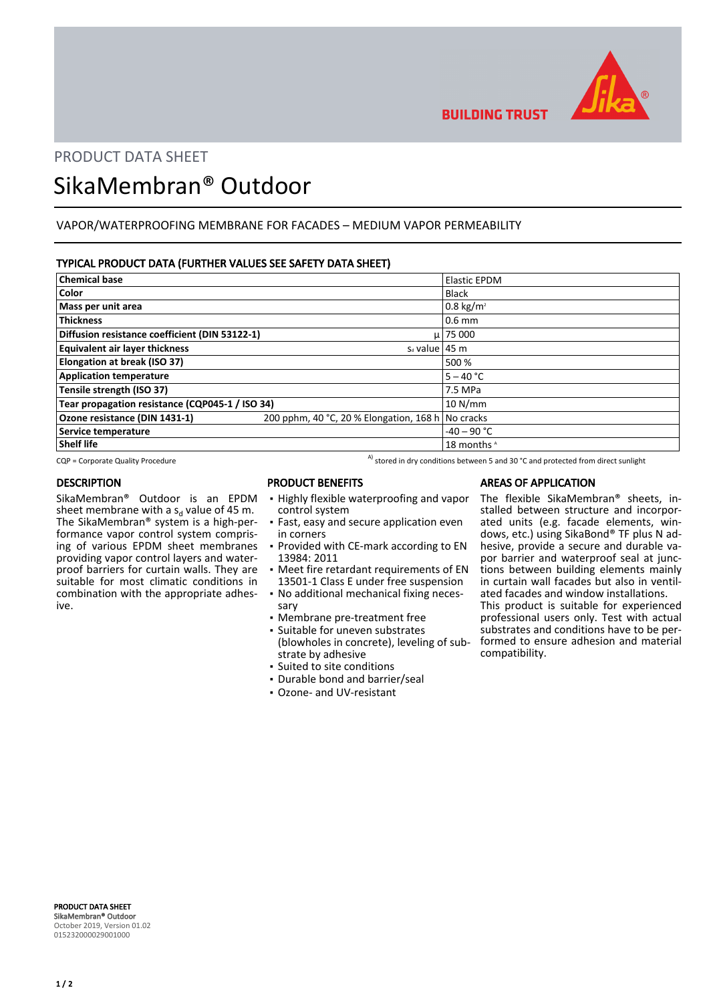

**BUILDING TRUST** 

## PRODUCT DATA SHEET

# SikaMembran® Outdoor

## VAPOR/WATERPROOFING MEMBRANE FOR FACADES – MEDIUM VAPOR PERMEABILITY

#### TYPICAL PRODUCT DATA (FURTHER VALUES SEE SAFETY DATA SHEET)

| <b>Chemical base</b>                            |                                         | <b>Elastic EPDM</b>    |
|-------------------------------------------------|-----------------------------------------|------------------------|
| Color                                           |                                         | Black                  |
| Mass per unit area                              |                                         | $0.8 \text{ kg/m}^2$   |
| <b>Thickness</b>                                |                                         | $0.6$ mm               |
| Diffusion resistance coefficient (DIN 53122-1)  |                                         | $\mu$   75 000         |
| <b>Equivalent air layer thickness</b>           | $S_d$ value   45 m                      |                        |
| Elongation at break (ISO 37)                    |                                         | 500 %                  |
| <b>Application temperature</b>                  |                                         | $5 - 40 °C$            |
| Tensile strength (ISO 37)                       |                                         | 7.5 MPa                |
| Tear propagation resistance (CQP045-1 / ISO 34) |                                         | 10 N/mm                |
| Ozone resistance (DIN 1431-1)                   | 200 pphm, 40 °C, 20 % Elongation, 168 h | No cracks              |
| Service temperature                             |                                         | $-40 - 90$ °C          |
| <b>Shelf life</b>                               |                                         | 18 months <sup>A</sup> |

 $CQP =$  Corporate Quality Procedure  $A$ <sup>A)</sup> stored in dry conditions between 5 and 30 °C and protected from direct sunlight

#### **DESCRIPTION**

SikaMembran® Outdoor is an EPDM sheet membrane with a s<sub>d</sub> value of 45 m. The SikaMembran® system is a high-performance vapor control system comprising of various EPDM sheet membranes providing vapor control layers and waterproof barriers for curtain walls. They are suitable for most climatic conditions in combination with the appropriate adhesive.

### PRODUCT BENEFITS

- **.** Highly flexible waterproofing and vapor control system
- Fast, easy and secure application even in corners
- Provided with CE-mark according to EN 13984: 2011
- Meet fire retardant requirements of EN 13501-1 Class E under free suspension
- No additional mechanical fixing neces-▪ sary
- Membrane pre-treatment free
- **·** Suitable for uneven substrates (blowholes in concrete), leveling of substrate by adhesive
- Suited to site conditions
- Durable bond and barrier/seal ▪ Ozone- and UV-resistant

## AREAS OF APPLICATION The flexible SikaMembran® sheets, in-

stalled between structure and incorporated units (e.g. facade elements, windows, etc.) using SikaBond® TF plus N adhesive, provide a secure and durable vapor barrier and waterproof seal at junctions between building elements mainly in curtain wall facades but also in ventilated facades and window installations. This product is suitable for experienced professional users only. Test with actual substrates and conditions have to be performed to ensure adhesion and material compatibility.

PRODUCT DATA SHEET SikaMembran® Outdoor October 2019, Version 01.02 015232000029001000